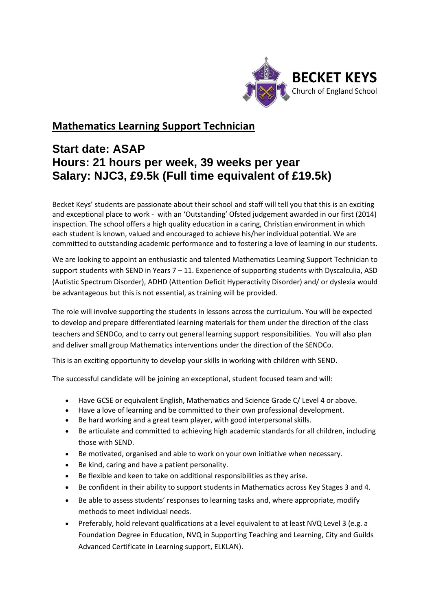

## **Mathematics Learning Support Technician**

## **Start date: ASAP Hours: 21 hours per week, 39 weeks per year Salary: NJC3, £9.5k (Full time equivalent of £19.5k)**

Becket Keys' students are passionate about their school and staff will tell you that this is an exciting and exceptional place to work - with an 'Outstanding' Ofsted judgement awarded in our first (2014) inspection. The school offers a high quality education in a caring, Christian environment in which each student is known, valued and encouraged to achieve his/her individual potential. We are committed to outstanding academic performance and to fostering a love of learning in our students.

We are looking to appoint an enthusiastic and talented Mathematics Learning Support Technician to support students with SEND in Years  $7 - 11$ . Experience of supporting students with Dyscalculia, ASD (Autistic Spectrum Disorder), ADHD (Attention Deficit Hyperactivity Disorder) and/ or dyslexia would be advantageous but this is not essential, as training will be provided.

The role will involve supporting the students in lessons across the curriculum. You will be expected to develop and prepare differentiated learning materials for them under the direction of the class teachers and SENDCo, and to carry out general learning support responsibilities. You will also plan and deliver small group Mathematics interventions under the direction of the SENDCo.

This is an exciting opportunity to develop your skills in working with children with SEND.

The successful candidate will be joining an exceptional, student focused team and will:

- Have GCSE or equivalent English, Mathematics and Science Grade C/ Level 4 or above.
- Have a love of learning and be committed to their own professional development.
- Be hard working and a great team player, with good interpersonal skills.
- Be articulate and committed to achieving high academic standards for all children, including those with SEND.
- Be motivated, organised and able to work on your own initiative when necessary.
- Be kind, caring and have a patient personality.
- Be flexible and keen to take on additional responsibilities as they arise.
- Be confident in their ability to support students in Mathematics across Key Stages 3 and 4.
- Be able to assess students' responses to learning tasks and, where appropriate, modify methods to meet individual needs.
- Preferably, hold relevant qualifications at a level equivalent to at least NVQ Level 3 (e.g. a Foundation Degree in Education, NVQ in Supporting Teaching and Learning, City and Guilds Advanced Certificate in Learning support, ELKLAN).